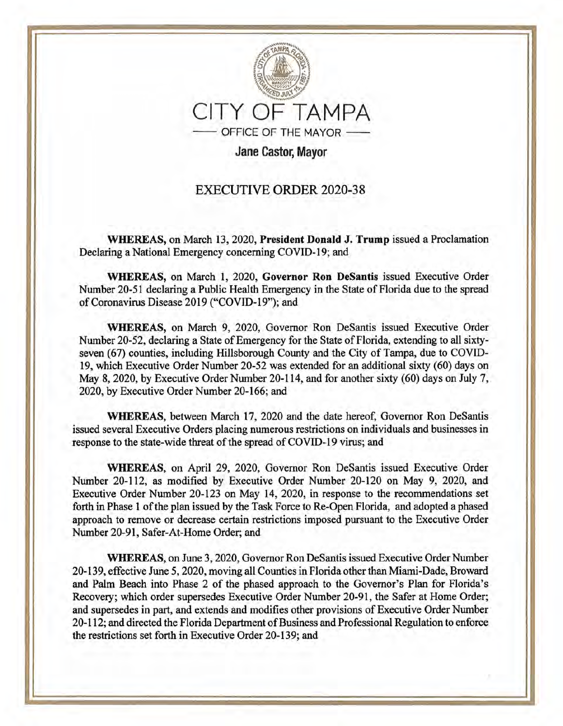

## EXECUTIVE ORDER 2020-38

**WHEREAS,** on March 13, 2020, **President Donald J. Trump** issued a Proclamation Declaring a National Emergency concerning COVID-19; and

**WHEREAS,** on March 1, 2020, **Governor Ron DeSantis** issued Executive Order Number 20-51 declaring a Public Health Emergency in the State of Florida due to the spread of Coronavirus Disease 2019 ("COVID-19"); and

**WHEREAS,** on March 9, 2020, Governor Ron DeSantis issued Executive Order Number 20-52, declaring a State of Emergency for the State of Florida, extending to all sixtyseven (67) counties, including Hillsborough County and the City of Tampa, due to COVID-19, which Executive Order Number 20-52 was extended for an additional sixty (60) days on May 8, 2020, by Executive Order Number 20-114, and for another sixty (60) days on July 7, 2020, by Executive Order Number 20-166; and

**WHEREAS,** between March 17, 2020 and the date hereof, Governor Ron DeSantis issued several Executive Orders placing numerous restrictions on individuals and businesses in response to the state-wide threat of the spread of COVID-19 virus; and

**WHEREAS,** on April 29, 2020, Governor Ron DeSantis issued Executive Order Number 20-112, as modified by Executive Order Number 20-120 on May 9, 2020, and Executive Order Number 20-123 on May 14, 2020, in response to the recommendations set forth in Phase 1 of the plan issued by the Task Force to Re-Open Florida, and adopted a phased approach to remove or decrease certain restrictions imposed pursuant to the Executive Order Number 20-91, Safer-At-Home Order; and

**WHEREAS,** on June 3, 2020, Governor Ron DeSantis issued Executive Order Number 20-139, effective June 5, 2020, moving all Counties in Florida other than Miami-Dade, Broward and Palm Beach into Phase 2 of the phased approach to the Governor's Plan for Florida's Recovery; which order supersedes Executive Order Number 20-91, the Safer at Home Order; and supersedes in part, and extends and modifies other provisions of Executive Order Number 20-112; and directed the Florida Department of Business and Professional Regulation to enforce the restrictions set forth in Executive Order 20-139; and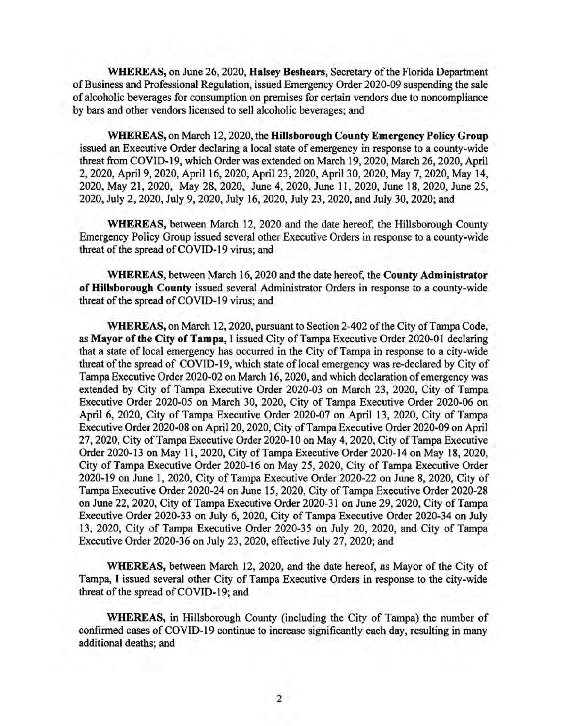WHEREAS, on June 26, 2020, Halsey Beshears, Secretary of the Florida Department ofBusiness and Professional Regulation, issued Emergency Order 2020-09 suspending the sale of alcoholic beverages for consumption on premises for certain vendors due to noncompliance by bars and other vendors licensed to sell alcoholic beverages; and

**WHEREAS,** on March 12, 2020, the **Hillsborough County Emergency Policy Group**  issued an Executive Order declaring a local state of emergency in response to a county-wide threat from COVID-19, which Order was extended on March 19, 2020, March 26, 2020, April 2, 2020, April 9, 2020, April 16, 2020, April 23, 2020, April 30, 2020, May 7, 2020, May 14, 2020, May 21, 2020, May 28, 2020, June 4, 2020, June 11, 2020, June 18, 2020, June 25, 2020, July 2, 2020, July 9, 2020, July 16, 2020, July 23, 2020, and July 30, 2020; and

**WHEREAS,** between March 12, 2020 and the date hereof, the Hillsborough County Emergency Policy Group issued several other Executive Orders in response to a county-wide threat of the spread of COVID-19 virus; and

**WHEREAS,** between March 16, 2020 and the date hereof, the **County Administrator of Hillsborough County** issued several Administrator Orders in response to a county-wide threat of the spread of COVID-19 virus; and

WHEREAS, on March 12, 2020, pursuant to Section 2-402 of the City of Tampa Code, as **Mayor of the City of Tampa,** I issued City of Tampa Executive Order 2020-01 declaring that a state of local emergency has occurred in the City of Tampa in response to a city-wide threat of the spread of COVID-19, which state of local emergency was re-declared by City of Tampa Executive Order 2020-02 on March 16, 2020, and which declaration ofemergency was extended by City of Tampa Executive Order 2020-03 on March 23, 2020, City of Tampa Executive Order 2020-05 on March 30, 2020, City of Tampa Executive Order 2020-06 on April 6, 2020, City of Tampa Executive Order 2020-07 on April 13, 2020, City of Tampa Executive Order 2020-08 on April 20, 2020, City of Tampa Executive Order 2020-09 on April 27, 2020, City of Tampa Executive Order 2020-10 on May 4, 2020, City of Tampa Executive Order 2020-13 on May 11, 2020, City of Tampa Executive Order 2020-14 on May 18, 2020, City of Tampa Executive Order 2020-16 on May 25, 2020, City of Tampa Executive Order 2020-19 on June 1, 2020, City of Tampa Executive Order 2020-22 on June 8, 2020, City of Tampa Executive Order 2020-24 on June 15, 2020, City of Tampa Executive Order 2020-28 on June 22, 2020, City of Tampa Executive Order 2020-31 on June 29, 2020, City of Tampa Executive Order 2020-33 on July 6, 2020, City of Tampa Executive Order 2020-34 on July 13, 2020, City of Tampa Executive Order 2020-35 on July 20, 2020, and City of Tampa Executive Order 2020-36 on July 23, 2020, effective July 27, 2020; and

**WHEREAS,** between March 12, 2020, and the date hereof, as Mayor of the City of Tampa, I issued several other City of Tampa Executive Orders in response to the city-wide threat of the spread of COVID-19; and

**WHEREAS,** in Hillsborough County (including the City of Tampa) the number of confirmed cases of COVID-19 continue to increase significantly each day, resulting in many additional deaths; and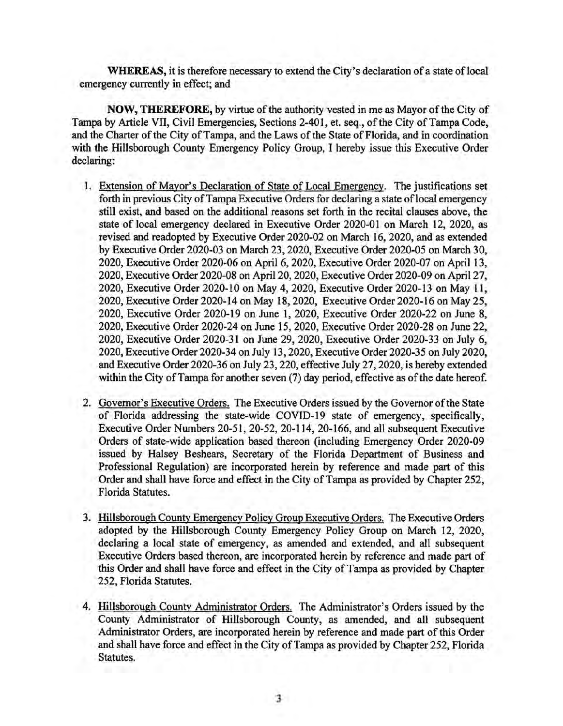WHEREAS, it is therefore necessary to extend the City's declaration of a state of local emergency currently in effect; and

**NOW, THEREFORE,** by virtue of the authority vested in me as Mayor of the City of Tampa by Article VII, Civil Emergencies, Sections 2-401, et. seq., of the City of Tampa Code, and the Charter of the City of Tampa, and the Laws of the State of Florida, and in coordination with the Hillsborough County Emergency Policy Group, I hereby issue this Executive Order declaring:

- 1. Extension of Mayor's Declaration of State of Local Emergency. The justifications set forth in previous City of Tampa Executive Orders for declaring a state of local emergency still exist, and based on the additional reasons set forth in the recital clauses above, the state of local emergency declared in Executive Order 2020-01 on March 12, 2020, as revised and readopted by Executive Order 2020-02 on March 16, 2020, and as extended by Executive Order 2020-03 on March 23, 2020, Executive Order 2020-05 on March 30, 2020, Executive Order 2020-06 on April 6, 2020, Executive Order 2020-07 on April 13, 2020, Executive Order 2020-08 on April 20, 2020, Executive Order 2020-09 on April 27, 2020, Executive Order 2020-10 on May 4, 2020, Executive Order 2020-13 on May 11, 2020, Executive Order 2020-14 on May 18, 2020, Executive Order 2020-16 on May 25, 2020, Executive Order 2020-19 on June 1, 2020, Executive Order 2020-22 on June 8, 2020, Executive Order 2020-24 on June 15, 2020, Executive Order 2020-28 on June 22, 2020, Executive Order 2020-31 on June 29, 2020, Executive Order 2020-33 on July 6, 2020, Executive Order 2020-34 on July 13, 2020, Executive Order 2020-35 on July 2020, and Executive Order 2020-36 on July 23,220, effective July 27, 2020, is hereby extended within the City of Tampa for another seven (7) day period, effective as of the date hereof.
- 2. Governor's Executive Orders. The Executive Orders issued by the Governor ofthe State of Florida addressing the state-wide COVID-19 state of emergency, specifically, Executive Order Numbers 20-51, 20-52, 20-114, 20-166, and all subsequent Executive Orders of state-wide application based thereon (including Emergency Order 2020-09 issued by Halsey Beshears, Secretary of the Florida Department of Business and Professional Regulation) are incorporated herein by reference and made part of this Order and shall have force and effect in the City of Tampa as provided by Chapter 252, Florida Statutes.
- 3. Hillsborough County Emergency Policy Group Executive Orders. The Executive Orders adopted by the Hillsborough County Emergency Policy Group on March 12, 2020, declaring a local state of emergency, as amended and extended, and all subsequent Executive Orders based thereon, are incorporated herein by reference and made part of this Order and shall have force and effect in the City of Tampa as provided by Chapter 252, Florida Statutes.
- 4. Hillsborough County Administrator Orders. The Administrator's Orders issued by the County Administrator of Hillsborough County, as amended, and all subsequent Administrator Orders, are incorporated herein by reference and made part of this Order and shall have force and effect in the City of Tampa as provided by Chapter 252, Florida Statutes.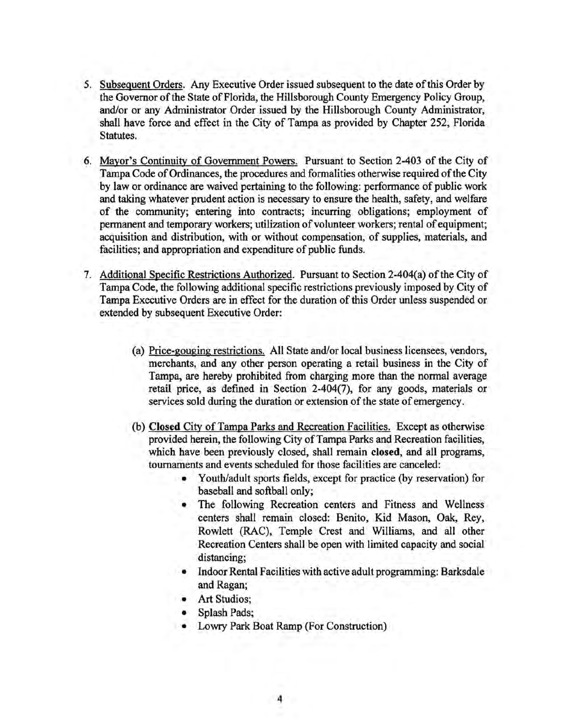- 5. Subsequent Orders. Any Executive Order issued subsequent to the date of this Order by the Governor of the State of Florida, the Hillsborough County Emergency Policy Group, and/or or any Administrator Order issued by the Hillsborough County Administrator, shall have force and effect in the City of Tampa as provided by Chapter 252, Florida **Statutes.**
- 6. Mayor's Continuity of Government Powers. Pursuant to Section 2-403 of the City of Tampa Code of Ordinances, the procedures and formalities otherwise required of the City by law or ordinance are waived pertaining to the following: performance of public work and taking whatever prudent action is necessary to ensure the health, safety, and welfare of the community; entering into contracts; incurring obligations; employment of permanent and temporary workers; utilization of volunteer workers; rental of equipment; acquisition and distribution, with or without compensation, of supplies, materials, and facilities; and appropriation and expenditure of public funds.
- 7. Additional Specific Restrictions Authorized. Pursuant to Section 2-404(a) ofthe City of Tampa Code, the following additional specific restrictions previously imposed by City of Tampa Executive Orders are in effect for the duration of this Order unless suspended or extended by subsequent Executive Order:
	- (a) Price-gouging restrictions. All State and/or local business licensees, vendors, merchants, and any other person operating a retail business in the City of Tampa, are hereby prohibited from charging more than the normal average retail price, as defined in Section 2-404(7), for any goods, materials or services sold during the duration or extension of the state of emergency.
	- (b) **Closed** City of Tampa Parks and Recreation Facilities. Except as otherwise provided herein, the following City of Tampa Parks and Recreation facilities, which have been previously closed, shall remain **closed,** and all programs, tournaments and events scheduled for those facilities are canceled:
		- Youth/adult sports fields, except for practice (by reservation) for baseball and softball only;
		- The following Recreation centers and Fitness and Wellness centers shall remain closed: Benito, Kid Mason, Oak, Rey, Rowlett (RAC), Temple Crest and Williams, and all other Recreation Centers shall be open with limited capacity and social distancing;
		- Indoor Rental Facilities with active adult programming: Barksdale and Ragan;
		- Art Studios;
		- Splash Pads;
		- Lowry Park Boat Ramp (For Construction)